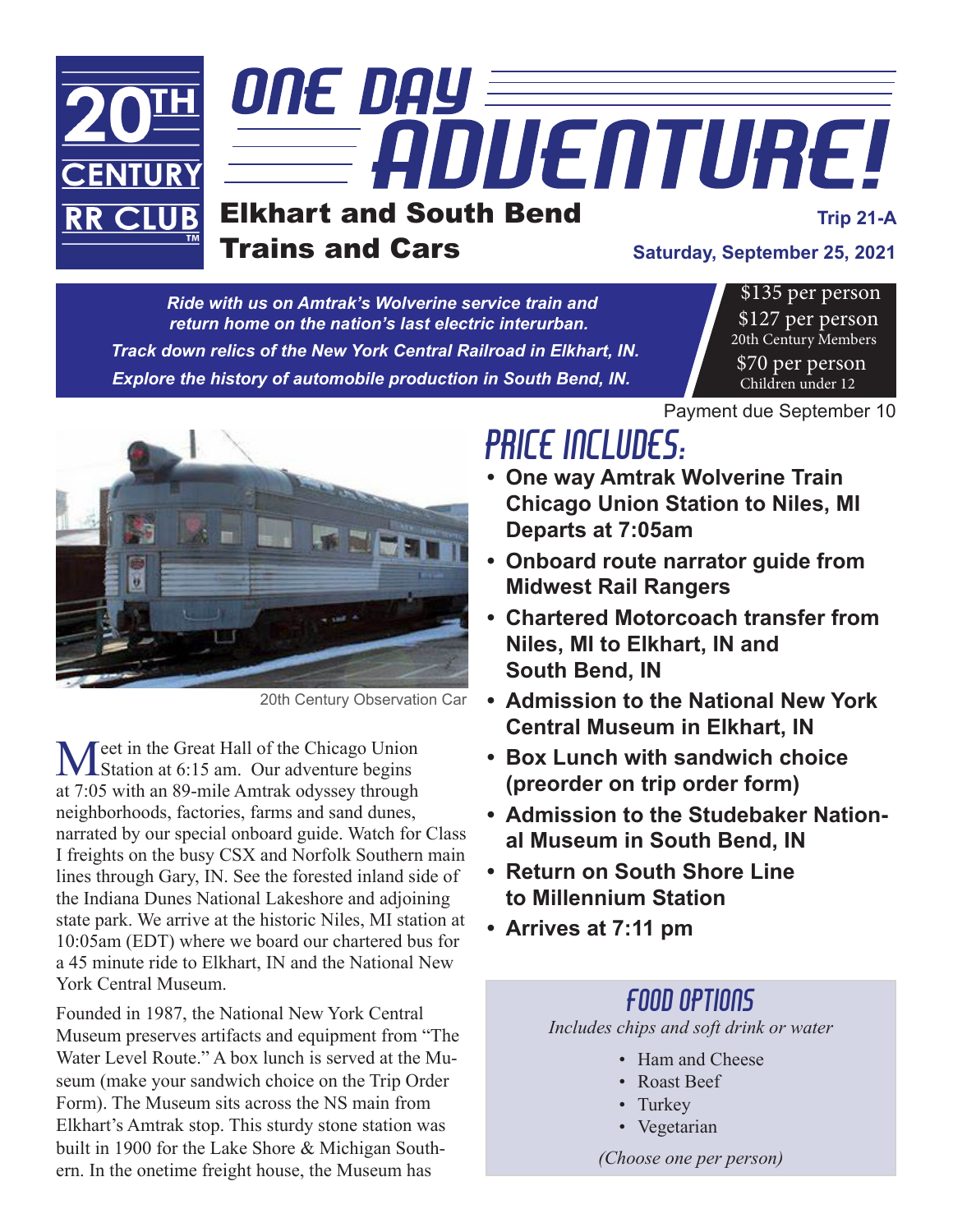

*Ride with us on Amtrak's Wolverine service train and return home on the nation's last electric interurban. Track down relics of the New York Central Railroad in Elkhart, IN. Explore the history of automobile production in South Bend, IN.*

\$135 per person \$127 per person 20th Century Members \$70 per person Children under 12



20th Century Observation Car

Meet in the Great Hall of the Chicago Union<br>
Station at 6:15 am. Our adventure begins at 7:05 with an 89-mile Amtrak odyssey through neighborhoods, factories, farms and sand dunes, narrated by our special onboard guide. Watch for Class I freights on the busy CSX and Norfolk Southern main lines through Gary, IN. See the forested inland side of the Indiana Dunes National Lakeshore and adjoining state park. We arrive at the historic Niles, MI station at 10:05am (EDT) where we board our chartered bus for a 45 minute ride to Elkhart, IN and the National New York Central Museum.

Founded in 1987, the National New York Central Museum preserves artifacts and equipment from "The Water Level Route." A box lunch is served at the Museum (make your sandwich choice on the Trip Order Form). The Museum sits across the NS main from Elkhart's Amtrak stop. This sturdy stone station was built in 1900 for the Lake Shore & Michigan Southern. In the onetime freight house, the Museum has

## PRICE INCLUDES: Payment due September 10

- **• One way Amtrak Wolverine Train Chicago Union Station to Niles, MI Departs at 7:05am**
- **• Onboard route narrator guide from Midwest Rail Rangers**
- **• Chartered Motorcoach transfer from Niles, MI to Elkhart, IN and South Bend, IN**
- **• Admission to the National New York Central Museum in Elkhart, IN**
- **• Box Lunch with sandwich choice (preorder on trip order form)**
- **• Admission to the Studebaker National Museum in South Bend, IN**
- **• Return on South Shore Line to Millennium Station**
- **• Arrives at 7:11 pm**

## Food Options

*Includes chips and soft drink or water*

- Ham and Cheese
- Roast Beef
- Turkey
- • Vegetarian

*(Choose one per person)*